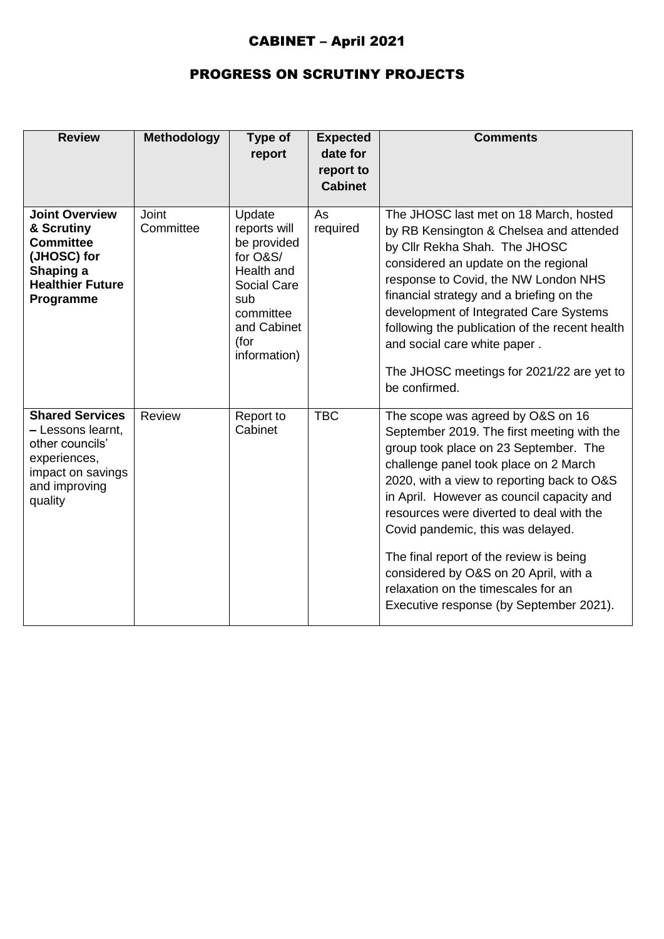## CABINET – April 2021

## PROGRESS ON SCRUTINY PROJECTS

| <b>Review</b>                                                                                                                   | <b>Methodology</b>        | Type of<br>report                                                                                                                                | <b>Expected</b><br>date for<br>report to<br><b>Cabinet</b> | <b>Comments</b>                                                                                                                                                                                                                                                                                                                                                                                                                                                                                                     |
|---------------------------------------------------------------------------------------------------------------------------------|---------------------------|--------------------------------------------------------------------------------------------------------------------------------------------------|------------------------------------------------------------|---------------------------------------------------------------------------------------------------------------------------------------------------------------------------------------------------------------------------------------------------------------------------------------------------------------------------------------------------------------------------------------------------------------------------------------------------------------------------------------------------------------------|
| <b>Joint Overview</b><br>& Scrutiny<br><b>Committee</b><br>(JHOSC) for<br>Shaping a<br><b>Healthier Future</b><br>Programme     | <b>Joint</b><br>Committee | Update<br>reports will<br>be provided<br>for O&S/<br>Health and<br><b>Social Care</b><br>sub<br>committee<br>and Cabinet<br>(for<br>information) | As<br>required                                             | The JHOSC last met on 18 March, hosted<br>by RB Kensington & Chelsea and attended<br>by Cllr Rekha Shah. The JHOSC<br>considered an update on the regional<br>response to Covid, the NW London NHS<br>financial strategy and a briefing on the<br>development of Integrated Care Systems<br>following the publication of the recent health<br>and social care white paper.<br>The JHOSC meetings for 2021/22 are yet to<br>be confirmed.                                                                            |
| <b>Shared Services</b><br>- Lessons learnt,<br>other councils'<br>experiences,<br>impact on savings<br>and improving<br>quality | Review                    | Report to<br>Cabinet                                                                                                                             | <b>TBC</b>                                                 | The scope was agreed by O&S on 16<br>September 2019. The first meeting with the<br>group took place on 23 September. The<br>challenge panel took place on 2 March<br>2020, with a view to reporting back to O&S<br>in April. However as council capacity and<br>resources were diverted to deal with the<br>Covid pandemic, this was delayed.<br>The final report of the review is being<br>considered by O&S on 20 April, with a<br>relaxation on the timescales for an<br>Executive response (by September 2021). |